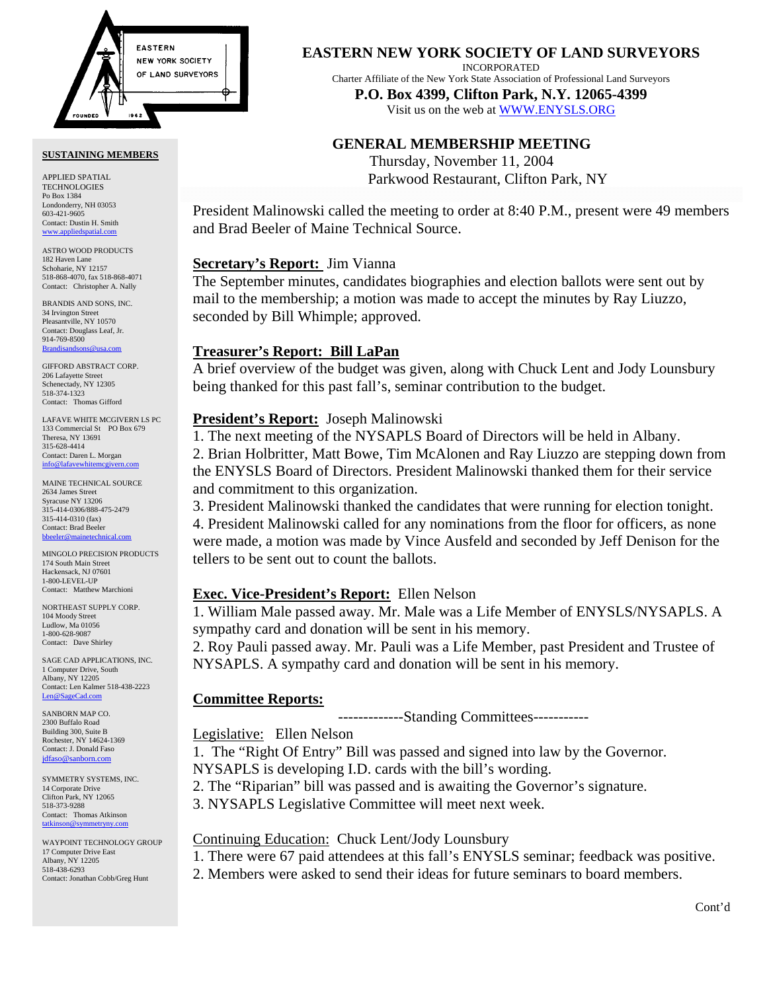

#### **SUSTAINING MEMBERS**

APPLIED SPATIAL TECHNOLOGIES Po Box 1384 Londonderry, NH 03053 603-421-9605 Contact: Dustin H. Smith <www.appliedspatial.com>

ASTRO WOOD PRODUCTS 182 Haven Lane Schoharie, NY 12157 518-868-4070, fax 518-868-4071 Contact: Christopher A. Nally

BRANDIS AND SONS, INC. 34 Irvington Street Pleasantville, NY 10570 Contact: Douglass Leaf, Jr. 914-769-8500 [Brandisandsons@usa.com](MAILTO:brandisandsons@usa.com)

GIFFORD ABSTRACT CORP. 206 Lafayette Stree Schenectady, NY 12305 518-374-1323 Contact: Thomas Gifford

LAFAVE WHITE MCGIVERN LS PC 133 Commercial St PO Box 679 Theresa, NY 13691 315-628-4414 Contact: Daren L. Morgan [info@lafavewhitemcgivern.com](MAILTO:info@lafavewhitemcgivern.com)

MAINE TECHNICAL SOURCE 2634 James Street Syracuse NY 13206 315-414-0306/888-475-2479 315-414-0310 (fax) Contact: Brad Beeler [bbeeler@mainetechnical.com](MAILTO:bbeeler@mainetechnical.com)

MINGOLO PRECISION PRODUCTS 174 South Main Street Hackensack, NJ 07601 1-800-LEVEL-UP Contact: Matthew Marchioni

NORTHEAST SUPPLY CORP. 104 Moody Street Ludlow, Ma 01056 1-800-628-9087 Contact: Dave Shirley

SAGE CAD APPLICATIONS, INC. 1 Computer Drive, South Albany, NY 12205 Contact: Len Kalmer 518-438-2223 [Len@SageCad.com](MAILTO:Len@SageCad.com)

SANBORN MAP CO. 2300 Buffalo Road Building 300, Suite B Rochester, NY 14624-1369 Contact: J. Donald Faso [jdfaso@sanborn.com](mailto:jdfaso@sanborn.com)

SYMMETRY SYSTEMS, INC. 14 Corporate Drive Clifton Park, NY 12065 518-373-9288 Contact: Thomas Atkinson [tatkinson@symmetryny.com](mailto:tatkinson@symmetryny.com)

WAYPOINT TECHNOLOGY GROUP 17 Computer Drive East Albany, NY 12205 518-438-6293 Contact: Jonathan Cobb/Greg Hunt

**EASTERN NEW YORK SOCIETY OF LAND SURVEYORS**

INCORPORATED

Charter Affiliate of the New York State Association of Professional Land Surveyors

**P.O. Box 4399, Clifton Park, N.Y. 12065-4399**  Visit us on the web a[t WWW.ENYSLS.ORG](www.enysls.org)

# **GENERAL MEMBERSHIP MEETING**

Thursday, November 11, 2004 Parkwood Restaurant, Clifton Park, NY

President Malinowski called the meeting to order at 8:40 P.M., present were 49 members and Brad Beeler of Maine Technical Source.

# **Secretary's Report:** Jim Vianna

The September minutes, candidates biographies and election ballots were sent out by mail to the membership; a motion was made to accept the minutes by Ray Liuzzo, seconded by Bill Whimple; approved.

### **Treasurer's Report: Bill LaPan**

A brief overview of the budget was given, along with Chuck Lent and Jody Lounsbury being thanked for this past fall's, seminar contribution to the budget.

## **President's Report:** Joseph Malinowski

1. The next meeting of the NYSAPLS Board of Directors will be held in Albany. 2. Brian Holbritter, Matt Bowe, Tim McAlonen and Ray Liuzzo are stepping down from the ENYSLS Board of Directors. President Malinowski thanked them for their service and commitment to this organization.

3. President Malinowski thanked the candidates that were running for election tonight. 4. President Malinowski called for any nominations from the floor for officers, as none were made, a motion was made by Vince Ausfeld and seconded by Jeff Denison for the tellers to be sent out to count the ballots.

### **Exec. Vice-President's Report:** Ellen Nelson

1. William Male passed away. Mr. Male was a Life Member of ENYSLS/NYSAPLS. A sympathy card and donation will be sent in his memory.

2. Roy Pauli passed away. Mr. Pauli was a Life Member, past President and Trustee of NYSAPLS. A sympathy card and donation will be sent in his memory.

# **Committee Reports:**

-------------Standing Committees-----------

Legislative: Ellen Nelson

1. The "Right Of Entry" Bill was passed and signed into law by the Governor. NYSAPLS is developing I.D. cards with the bill's wording.

2. The "Riparian" bill was passed and is awaiting the Governor's signature.

3. NYSAPLS Legislative Committee will meet next week.

### Continuing Education: Chuck Lent/Jody Lounsbury

1. There were 67 paid attendees at this fall's ENYSLS seminar; feedback was positive.

2. Members were asked to send their ideas for future seminars to board members.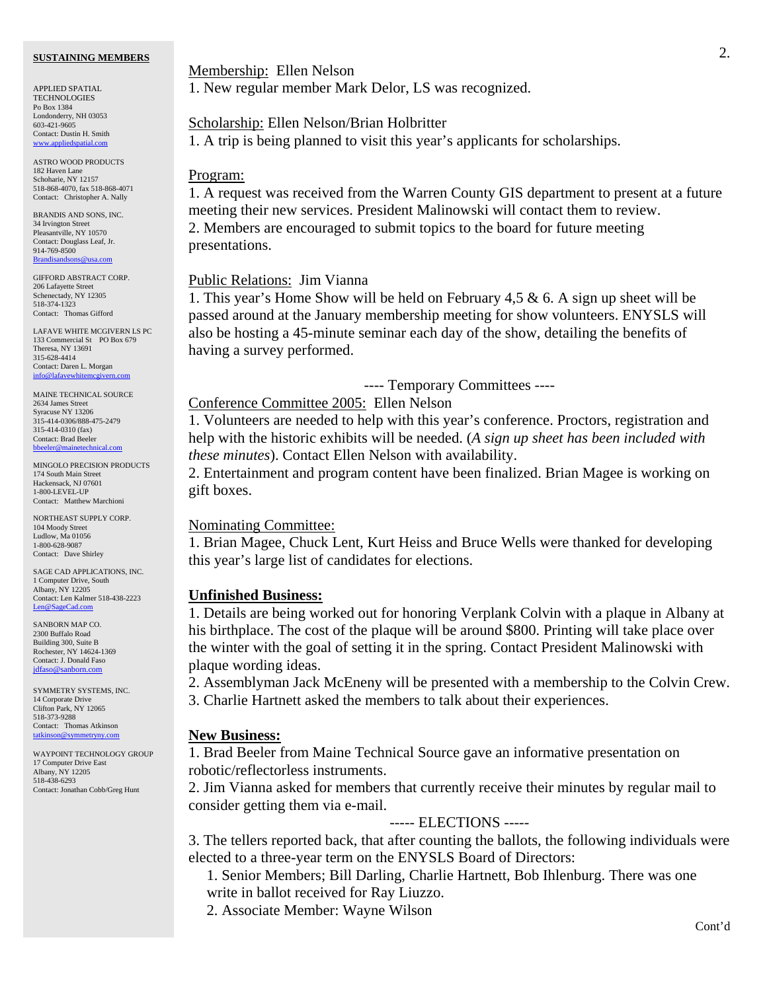#### **SUSTAINING MEMBERS**

APPLIED SPATIAL **TECHNOLOGIES** Po Box 1384 Londonderry, NH 03053 603-421-9605 Contact: Dustin H. Smith www.applied

ASTRO WOOD PRODUCTS 182 Haven Lane Schoharie, NY 12157 518-868-4070, fax 518-868-4071 Contact: Christopher A. Nally

BRANDIS AND SONS, INC. 34 Irvington Street Pleasantville, NY 10570 Contact: Douglass Leaf, Jr. 914-769-8500 [Brandisandsons@usa.com](MAILTO:brandisandsons@usa.com)

GIFFORD ABSTRACT CORP. 206 Lafayette Street Schenectady, NY 12305 518-374-1323 Contact: Thomas Gifford

LAFAVE WHITE MCGIVERN LS PC 133 Commercial St PO Box 679 Theresa, NY 13691 315-628-4414 Contact: Daren L. Morgan info@lafavewhiter

MAINE TECHNICAL SOURCE 2634 James Street Syracuse NY 13206 315-414-0306/888-475-2479 315-414-0310 (fax) Contact: Brad Beeler [bbeeler@mainetechnical.com](MAILTO:bbeeler@mainetechnical.com)

MINGOLO PRECISION PRODUCTS 174 South Main Street Hackensack, NJ 07601 1-800-LEVEL-UP Contact: Matthew Marchioni

NORTHEAST SUPPLY CORP. 104 Moody Street Ludlow, Ma 01056 1-800-628-9087 Contact: Dave Shirley

SAGE CAD APPLICATIONS, INC. 1 Computer Drive, South Albany, NY 12205 Contact: Len Kalmer 518-438-2223 [Len@SageCad.com](MAILTO:Len@SageCad.com)

SANBORN MAP CO. 2300 Buffalo Road Building 300, Suite B Rochester, NY 14624-1369 Contact: J. Donald Faso [jdfaso@sanborn.com](mailto:jdfaso@sanborn.com)

SYMMETRY SYSTEMS, INC. 14 Corporate Drive Clifton Park, NY 12065 518-373-9288 Contact: Thomas Atkinson [tatkinson@symmetryny.com](mailto:tatkinson@symmetryny.com)

WAYPOINT TECHNOLOGY GROUP 17 Computer Drive East Albany, NY 12205 518-438-6293 Contact: Jonathan Cobb/Greg Hunt

Membership: Ellen Nelson

1. New regular member Mark Delor, LS was recognized.

#### Scholarship: Ellen Nelson/Brian Holbritter

1. A trip is being planned to visit this year's applicants for scholarships.

#### Program:

1. A request was received from the Warren County GIS department to present at a future meeting their new services. President Malinowski will contact them to review. 2. Members are encouraged to submit topics to the board for future meeting presentations.

#### Public Relations: Jim Vianna

1. This year's Home Show will be held on February 4,5 & 6. A sign up sheet will be passed around at the January membership meeting for show volunteers. ENYSLS will also be hosting a 45-minute seminar each day of the show, detailing the benefits of having a survey performed.

---- Temporary Committees ----

Conference Committee 2005: Ellen Nelson

1. Volunteers are needed to help with this year's conference. Proctors, registration and help with the historic exhibits will be needed. (*A sign up sheet has been included with these minutes*). Contact Ellen Nelson with availability.

2. Entertainment and program content have been finalized. Brian Magee is working on gift boxes.

#### Nominating Committee:

1. Brian Magee, Chuck Lent, Kurt Heiss and Bruce Wells were thanked for developing this year's large list of candidates for elections.

#### **Unfinished Business:**

1. Details are being worked out for honoring Verplank Colvin with a plaque in Albany at his birthplace. The cost of the plaque will be around \$800. Printing will take place over the winter with the goal of setting it in the spring. Contact President Malinowski with plaque wording ideas.

2. Assemblyman Jack McEneny will be presented with a membership to the Colvin Crew. 3. Charlie Hartnett asked the members to talk about their experiences.

#### **New Business:**

1. Brad Beeler from Maine Technical Source gave an informative presentation on robotic/reflectorless instruments.

2. Jim Vianna asked for members that currently receive their minutes by regular mail to consider getting them via e-mail.

----- ELECTIONS -----

3. The tellers reported back, that after counting the ballots, the following individuals were elected to a three-year term on the ENYSLS Board of Directors:

 1. Senior Members; Bill Darling, Charlie Hartnett, Bob Ihlenburg. There was one write in ballot received for Ray Liuzzo.

2. Associate Member: Wayne Wilson